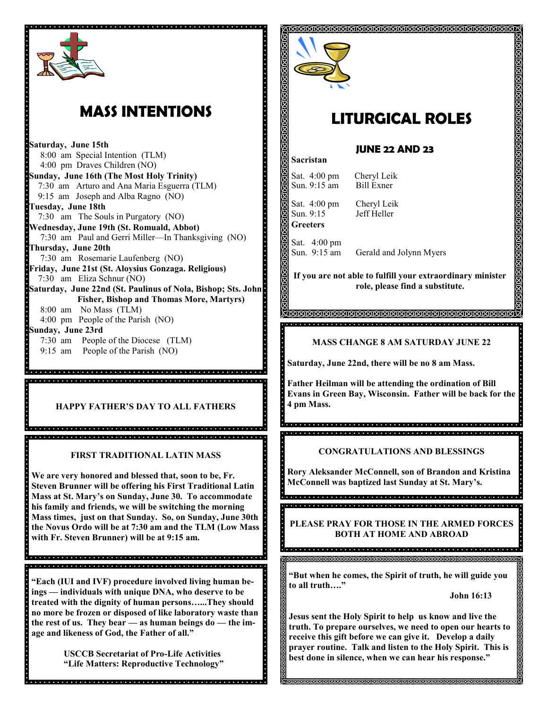

## **MASS INTENTIONS**

**Saturday, June 15th** 8:00 am Special Intention (TLM) 4:00 pm Draves Children (NO) **Sunday, June 16th (The Most Holy Trinity)** 7:30 am Arturo and Ana Maria Esguerra (TLM) 9:15 am Joseph and Alba Ragno (NO) **Tuesday, June 18th**  7:30 am The Souls in Purgatory (NO) **Wednesday, June 19th (St. Romuald, Abbot)** 7:30 am Paul and Gerri Miller—In Thanksgiving (NO) **Thursday, June 20th** 7:30 am Rosemarie Laufenberg (NO) **Friday, June 21st (St. Aloysius Gonzaga. Religious)** 7:30 am Eliza Schnur (NO) **Saturday, June 22nd (St. Paulinus of Nola, Bishop; Sts. John Fisher, Bishop and Thomas More, Martyrs)**  8:00 am No Mass (TLM) 4:00 pm People of the Parish (NO) **Sunday, June 23rd** 7:30 am People of the Diocese (TLM) 9:15 am People of the Parish (NO)

**HAPPY FATHER'S DAY TO ALL FATHERS E** 4 pm Mass.

**FIRST TRADITIONAL LATIN MASS**

**We are very honored and blessed that, soon to be, Fr. Steven Brunner will be offering his First Traditional Latin Mass at St. Mary's on Sunday, June 30. To accommodate his family and friends, we will be switching the morning Mass times, just on that Sunday. So, on Sunday, June 30th the Novus Ordo will be at 7:30 am and the TLM (Low Mass with Fr. Steven Brunner) will be at 9:15 am.**

**"Each (IUI and IVF) procedure involved living human beings — individuals with unique DNA, who deserve to be treated with the dignity of human persons…...They should no more be frozen or disposed of like laboratory waste than the rest of us. They bear — as human beings do — the image and likeness of God, the Father of all."**

de la ciencia de la ciencia de la ciencia de la ciencia de la ciencia de la ciencia de la ciencia de

**USCCB Secretariat of Pro-Life Activities "Life Matters: Reproductive Technology"**

dia la jaroja jaroja ja jaroja ja se jaroja jaroja jaroja ja jaroja jaroja jaroja jaroja jaroja jaroja jaroja



# **LITURGICAL ROLES**

#### **JUNE 22 AND 23**

Sat. 4:00 pm Cheryl Leik Sun. 9:15 am Bill Exner Sat. 4:00 pm Cheryl Leik Sun. 9:15 Jeff Heller **Greeters**

**Sacristan**

Sat. 4:00 pm Sun. 9:15 am Gerald and Jolynn Myers

**If you are not able to fulfill your extraordinary minister role, please find a substitute.** 

#### **MASS CHANGE 8 AM SATURDAY JUNE 22**

**Saturday, June 22nd, there will be no 8 am Mass.**

<u>KANANANANANANANANANANANA</u>

**Father Heilman will be attending the ordination of Bill Evans in Green Bay, Wisconsin. Father will be back for the** 

#### **CONGRATULATIONS AND BLESSINGS**

**Rory Aleksander McConnell, son of Brandon and Kristina McConnell was baptized last Sunday at St. Mary's.**

g<br>Sociala de la decembració de la dialección de la dialección de la dialección de la dialección 

**PLEASE PRAY FOR THOSE IN THE ARMED FORCES BOTH AT HOME AND ABROAD** 

**"But when he comes, the Spirit of truth, he will guide you to all truth…."**

**John 16:13**

**Jesus sent the Holy Spirit to help us know and live the truth. To prepare ourselves, we need to open our hearts to receive this gift before we can give it. Develop a daily prayer routine. Talk and listen to the Holy Spirit. This is best done in silence, when we can hear his response."**